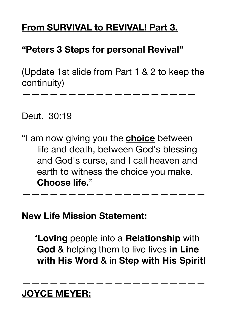### **From SURVIVAL to REVIVAL! Part 3.**

### **"Peters 3 Steps for personal Revival"**

(Update 1st slide from Part 1 & 2 to keep the continuity)

———————————————————

Deut. 30:19

"I am now giving you the **choice** between life and death, between God's blessing and God's curse, and I call heaven and earth to witness the choice you make. **Choose life.**"

————————————————————

### **New Life Mission Statement:**

 "**Loving** people into a **Relationship** with **God** & helping them to live lives **in Line with His Word** & in **Step with His Spirit!**

————————————————————

### **JOYCE MEYER:**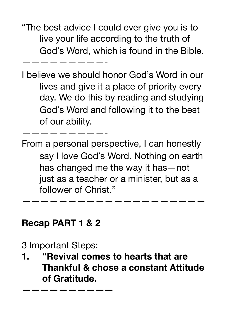"The best advice I could ever give you is to live your life according to the truth of God's Word, which is found in the Bible.

—————————-

I believe we should honor God's Word in our lives and give it a place of priority every day. We do this by reading and studying God's Word and following it to the best of our ability.

From a personal perspective, I can honestly say I love God's Word. Nothing on earth has changed me the way it has—not just as a teacher or a minister, but as a follower of Christ."

————————————————————

### **Recap PART 1 & 2**

—————————-

3 Important Steps:

**——————————**

**1. "Revival comes to hearts that are Thankful & chose a constant Attitude of Gratitude.**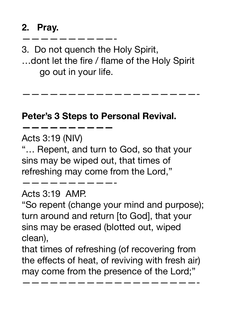## **2. Pray.**

3. Do not quench the Holy Spirit,

——————————-

…dont let the fire / flame of the Holy Spirit go out in your life.

———————————————————-

#### **Peter's 3 Steps to Personal Revival.**

Acts 3:19 (NIV)

**——————————** 

"… Repent, and turn to God, so that your sins may be wiped out, that times of refreshing may come from the Lord,"

#### Acts 3:19 AMP.

——————————-

"So repent (change your mind and purpose); turn around and return [to God], that your sins may be erased (blotted out, wiped clean),

that times of refreshing (of recovering from the effects of heat, of reviving with fresh air) may come from the presence of the Lord;"

———————————————————-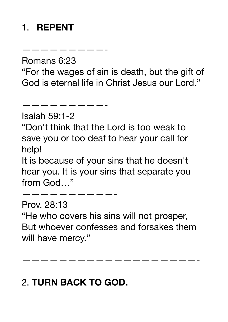# 1. **REPENT**

Romans 6:23

—————————-

———————————————

"For the wages of sin is death, but the gift of God is eternal life in Christ Jesus our Lord."

Isaiah 59:1-2

"Don't think that the Lord is too weak to save you or too deaf to hear your call for help!

It is because of your sins that he doesn't hear you. It is your sins that separate you from God…"

——————————- Prov. 28:13 "He who covers his sins will not prosper, But whoever confesses and forsakes them will have mercy."

———————————————————-

# 2. **TURN BACK TO GOD.**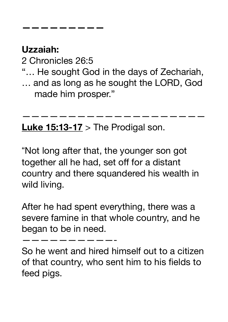# **Uzzaiah:**

2 Chronicles 26:5

**—————————**

- "… He sought God in the days of Zechariah,
- … and as long as he sought the LORD, God made him prosper."

————————————————————

**Luke 15:13-17** > The Prodigal son.

"Not long after that, the younger son got together all he had, set off for a distant country and there squandered his wealth in wild living.

After he had spent everything, there was a severe famine in that whole country, and he began to be in need.

——————————-

So he went and hired himself out to a citizen of that country, who sent him to his fields to feed pigs.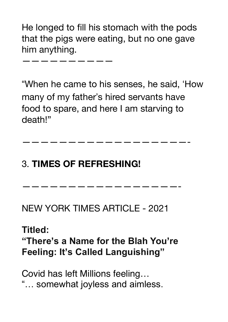He longed to fill his stomach with the pods that the pigs were eating, but no one gave him anything.

——————————

"When he came to his senses, he said, 'How many of my father's hired servants have food to spare, and here I am starving to death!"

——————————————————-

—————————————————-

# 3. **TIMES OF REFRESHING!**

NEW YORK TIMES ARTICLE - 2021

## **Titled: "There's a Name for the Blah You're Feeling: It's Called Languishing"**

Covid has left Millions feeling… "… somewhat joyless and aimless.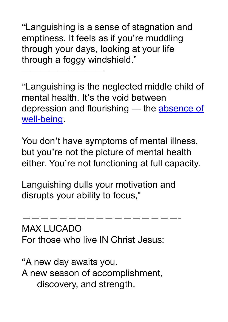"Languishing is a sense of stagnation and emptiness. It feels as if you're muddling through your days, looking at your life through a foggy windshield."

 $\overline{\phantom{a}}$  , which is a set of the set of the set of the set of the set of the set of the set of the set of the set of the set of the set of the set of the set of the set of the set of the set of the set of the set of th

"Languishing is the neglected middle child of mental health. It's the void between depression and flourishing — the absence of [well-being.](https://psycnet.apa.org/record/2003-04013-013)

You don't have symptoms of mental illness, but you're not the picture of mental health either. You're not functioning at full capacity.

Languishing dulls your motivation and disrupts your ability to focus,"

—————————————————- MAX LUCADO For those who live IN Christ Jesus:

"A new day awaits you. A new season of accomplishment, discovery, and strength.